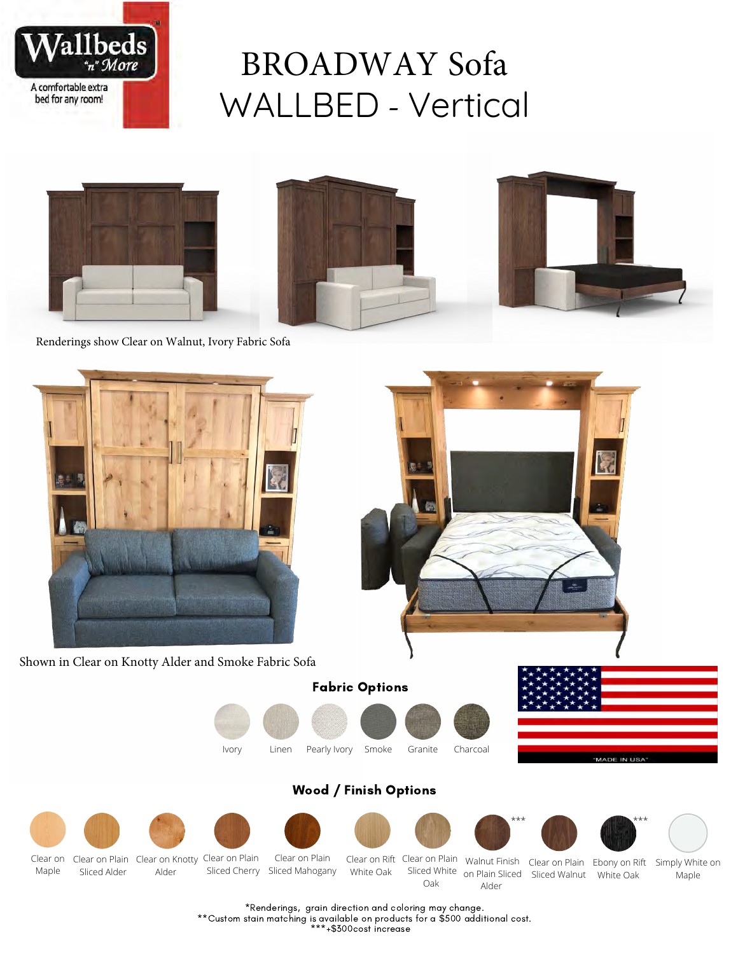

# BROADWAY Sofa WALLBED - Vertical



Renderings show Clear on Walnut, Ivory Fabric Sofa





Shown in Clear on Knotty Alder and Smoke Fabric Sofa

Fabric Options





### Wood / Finish Options



\*Renderings, grain direction and coloring may change.

\*\*Custom stain matching is available on products for a \$500 additional cost.

\*\*\*+\$300cost increase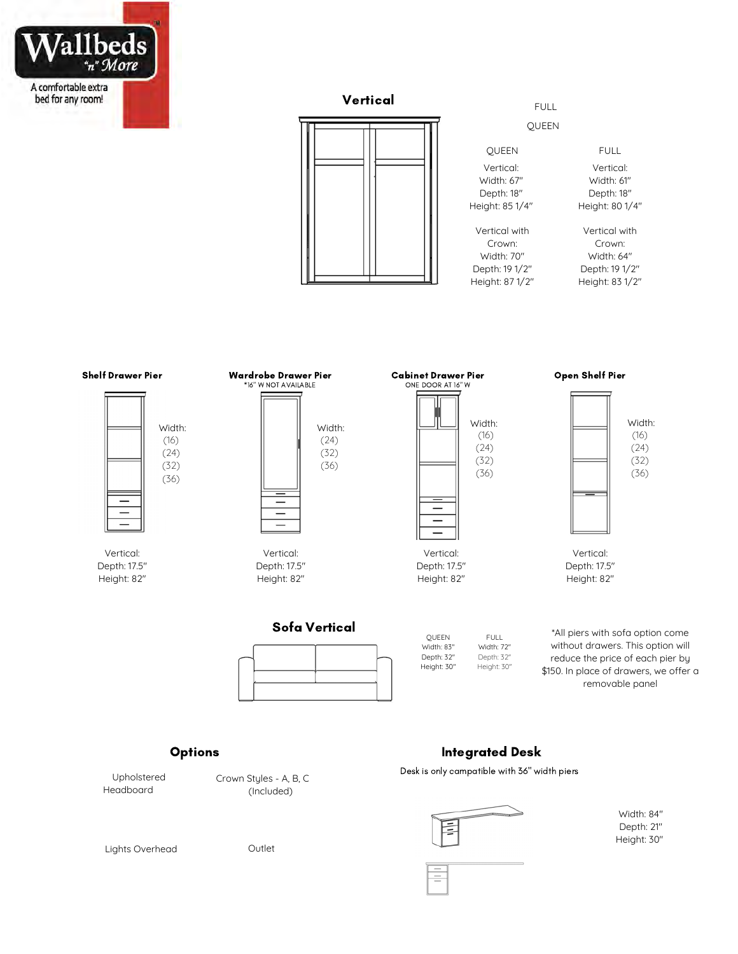

# **Vertical** FULL



#### QUEEN

Vertical: Width: 67" Depth: 18" Height: 85 1/4" QUEEN FULL

Vertical with Crown: Width: 70" Depth: 19 1/2" Height: 87 1/2"

#### Vertical: Width: 61" Depth: 18" Height: 80 1/4"

Vertical with Crown: Width: 64" Depth: 19 1/2" Height: 83 1/2"

#### Shelf Drawer Pier Wardrobe Drawer Pier Cabinet Drawer Pier Open Shelf Pier



Vertical: Depth: 17.5" Height: 82"



(24) (32) (36)═

Vertical: Depth: 17.5" Height: 82"



Height: 82"



Depth: 17.5" Height: 82"

Sofa Vertical

QUEEN Width: 83" Depth: 32" Height: 30" FULL. Width: 72" Depth: 32" Height: 30"

\*All piers with sofa option come without drawers. This option will reduce the price of each pier by \$150. In place of drawers, we offer a removable panel

#### **Options**

Upholstered Headboard

Crown Styles - A, B, C (Included)

## Integrated Desk

Desk is only campatible with 36" width piers



 $\equiv$ 

Width: 84" Depth: 21" Height: 30"

Lights Overhead **Outlet**